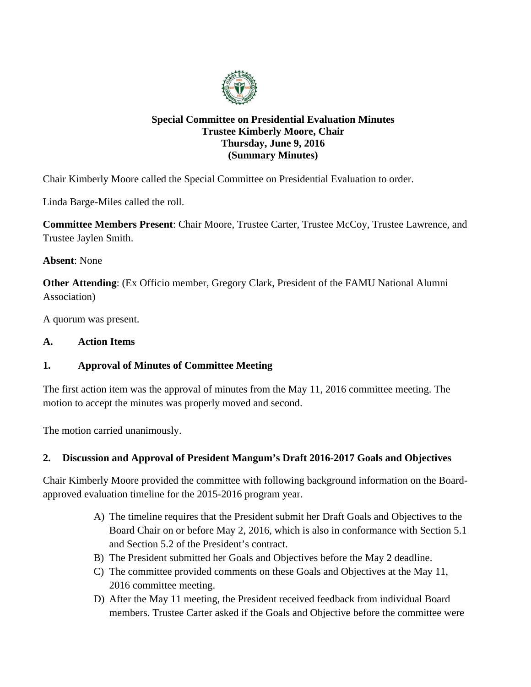

# **Special Committee on Presidential Evaluation Minutes Trustee Kimberly Moore, Chair Thursday, June 9, 2016 (Summary Minutes)**

Chair Kimberly Moore called the Special Committee on Presidential Evaluation to order.

Linda Barge-Miles called the roll.

**Committee Members Present**: Chair Moore, Trustee Carter, Trustee McCoy, Trustee Lawrence, and Trustee Jaylen Smith.

**Absent**: None

**Other Attending**: (Ex Officio member, Gregory Clark, President of the FAMU National Alumni Association)

A quorum was present.

### **A. Action Items**

# **1. Approval of Minutes of Committee Meeting**

The first action item was the approval of minutes from the May 11, 2016 committee meeting. The motion to accept the minutes was properly moved and second.

The motion carried unanimously.

# **2. Discussion and Approval of President Mangum's Draft 2016-2017 Goals and Objectives**

Chair Kimberly Moore provided the committee with following background information on the Boardapproved evaluation timeline for the 2015-2016 program year.

- A) The timeline requires that the President submit her Draft Goals and Objectives to the Board Chair on or before May 2, 2016, which is also in conformance with Section 5.1 and Section 5.2 of the President's contract.
- B) The President submitted her Goals and Objectives before the May 2 deadline.
- C) The committee provided comments on these Goals and Objectives at the May 11, 2016 committee meeting.
- D) After the May 11 meeting, the President received feedback from individual Board members. Trustee Carter asked if the Goals and Objective before the committee were